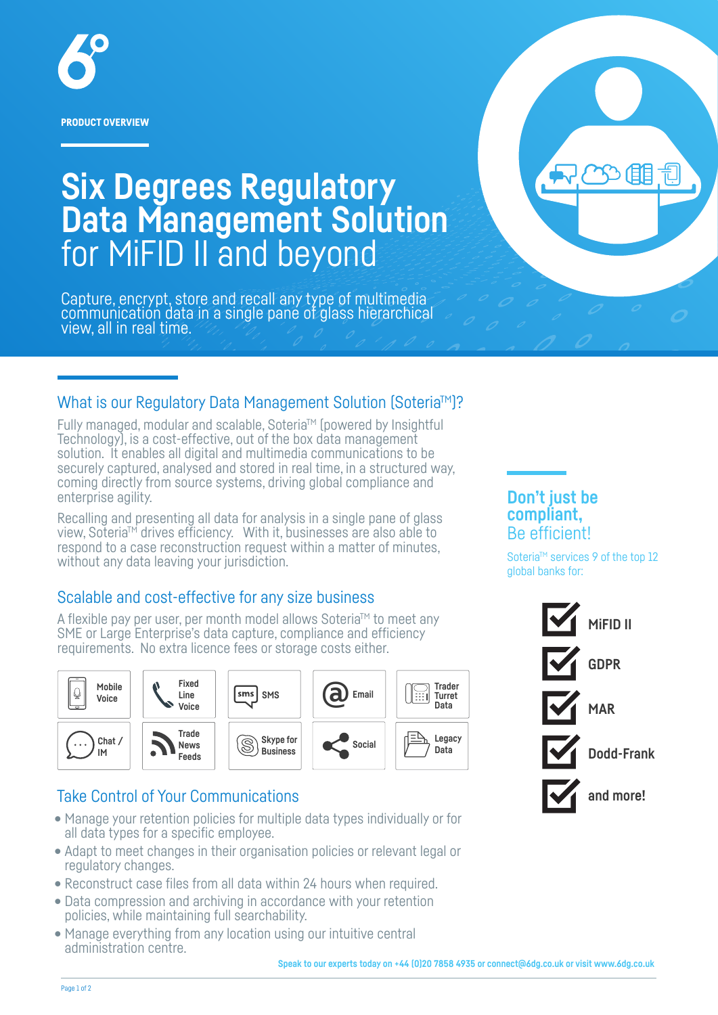

**Six Degrees Regulatory Data Management Solution** for MiFID II and beyond

Capture, encrypt, store and recall any type of multimedia communication data in a single pane of glass hierarchical view, all in real time.

## What is our Regulatory Data Management Solution (Soteria<sup>TM</sup>)?

Fully managed, modular and scalable, Soteria™ (powered by Insightful Technology), is a cost-effective, out of the box data management solution. It enables all digital and multimedia communications to be securely captured, analysed and stored in real time, in a structured way, coming directly from source systems, driving global compliance and enterprise agility.

Recalling and presenting all data for analysis in a single pane of glass view, Soteria<sup>™</sup> drives efficiency. With it, businesses are also able to respond to a case reconstruction request within a matter of minutes, without any data leaving your jurisdiction.

## Scalable and cost-effective for any size business

A flexible pay per user, per month model allows Soteria<sup>™</sup> to meet any SME or Large Enterprise's data capture, compliance and efficiency requirements. No extra licence fees or storage costs either.



## Take Control of Your Communications

- Manage your retention policies for multiple data types individually or for all data types for a specific employee.
- Adapt to meet changes in their organisation policies or relevant legal or regulatory changes.
- Reconstruct case files from all data within 24 hours when required.
- Data compression and archiving in accordance with your retention policies, while maintaining full searchability.
- Manage everything from any location using our intuitive central administration centre.

### **Don't just be compliant,** Be efficient!

Soteria<sup>™</sup> services 9 of the top 12 global banks for: